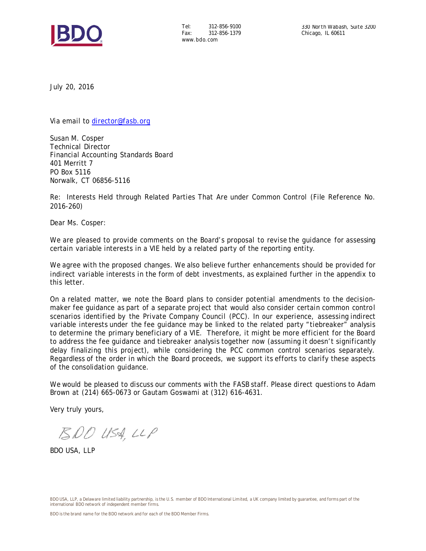

Tel: 312-856-9100 Fax: 312-856-1379 www.bdo.com

July 20, 2016

Via email to [director@fasb.org](mailto:director@fasb.org)

Susan M. Cosper Technical Director Financial Accounting Standards Board 401 Merritt 7 PO Box 5116 Norwalk, CT 06856-5116

Re: Interests Held through Related Parties That Are under Common Control (File Reference No. 2016-260)

Dear Ms. Cosper:

We are pleased to provide comments on the Board's proposal to revise the quidance for assessing certain variable interests in a VIE held by a related party of the reporting entity.

We agree with the proposed changes. We also believe further enhancements should be provided for indirect variable interests in the form of debt investments, as explained further in the appendix to this letter.

On a related matter, we note the Board plans to consider potential amendments to the decisionmaker fee guidance as part of a separate project that would also consider certain common control scenarios identified by the Private Company Council (PCC). In our experience, assessing indirect variable interests under the fee guidance may be linked to the related party "tiebreaker" analysis to determine the primary beneficiary of a VIE. Therefore, it might be more efficient for the Board to address the fee guidance and tiebreaker analysis together now (assuming it doesn't significantly delay finalizing this project), while considering the PCC common control scenarios separately. Regardless of the order in which the Board proceeds, we support its efforts to clarify these aspects of the consolidation guidance.

We would be pleased to discuss our comments with the FASB staff. Please direct questions to Adam Brown at (214) 665-0673 or Gautam Goswami at (312) 616-4631.

Very truly yours,

BDO USA, LLP

BDO USA, LLP

BDO USA, LLP, a Delaware limited liability partnership, is the U.S. member of BDO International Limited, a UK company limited by quarantee, and forms part of the international BDO network of independent member firms.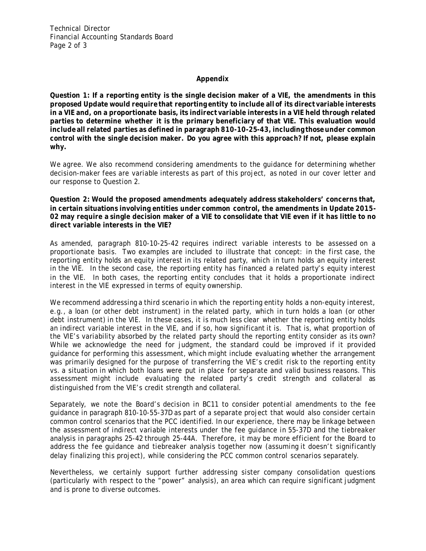Technical Director Financial Accounting Standards Board Page 2 of 3

## **Appendix**

**Question 1: If a reporting entity is the single decision maker of a VIE, the amendments in this proposed Update would require that reporting entity to include all of its direct variable interests in a VIE and, on a proportionate basis, its indirect variable interests in a VIE held through related parties to determine whether it is the primary beneficiary of that VIE. This evaluation would include all related parties as defined in paragraph 810-10-25-43, including those under common control with the single decision maker. Do you agree with this approach? If not, please explain why.** 

We agree. We also recommend considering amendments to the guidance for determining whether decision-maker fees are variable interests as part of this project, as noted in our cover letter and our response to Question 2.

**Question 2: Would the proposed amendments adequately address stakeholders' concerns that, in certain situations involving entities under common control, the amendments in Update 2015- 02 may require a single decision maker of a VIE to consolidate that VIE even if it has little to no direct variable interests in the VIE?** 

As amended, paragraph 810-10-25-42 requires indirect variable interests to be assessed on a proportionate basis. Two examples are included to illustrate that concept: in the first case, the reporting entity holds an equity interest in its related party, which in turn holds an equity interest in the VIE. In the second case, the reporting entity has financed a related party's equity interest in the VIE. In both cases, the reporting entity concludes that it holds a proportionate indirect interest in the VIE expressed in terms of equity ownership.

We recommend addressing a third scenario in which the reporting entity holds a non-equity interest, e.g., a loan (or other debt instrument) in the related party, which in turn holds a loan (or other debt instrument) in the VIE. In these cases, it is much less clear whether the reporting entity holds an indirect variable interest in the VIE, and if so, how significant it is. That is, what proportion of the VIE's variability absorbed by the related party should the reporting entity consider as its own? While we acknowledge the need for judgment, the standard could be improved if it provided guidance for performing this assessment, which might include evaluating whether the arrangement was primarily designed for the purpose of transferring the VIE's credit risk to the reporting entity vs. a situation in which both loans were put in place for separate and valid business reasons. This assessment might include evaluating the related party's credit strength and collateral as distinguished from the VIE's credit strength and collateral.

Separately, we note the Board's decision in BC11 to consider potential amendments to the fee guidance in paragraph 810-10-55-37D as part of a separate project that would also consider certain common control scenarios that the PCC identified. In our experience, there may be linkage between the assessment of indirect variable interests under the fee guidance in 55-37D and the tiebreaker analysis in paragraphs 25-42 through 25-44A. Therefore, it may be more efficient for the Board to address the fee guidance and tiebreaker analysis together now (assuming it doesn't significantly delay finalizing this project), while considering the PCC common control scenarios separately.

Nevertheless, we certainly support further addressing sister company consolidation questions (particularly with respect to the "power" analysis), an area which can require significant judgment and is prone to diverse outcomes.